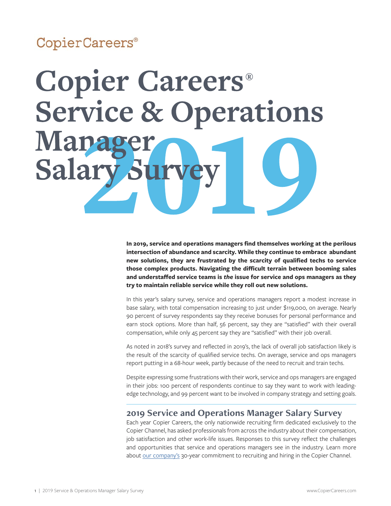#### CopierCareers®

## **Copier Careers®** Service & Operations **Mapa Salary Sur**

**In 2019, service and operations managers find themselves working at the perilous intersection of abundance and scarcity. While they continue to embrace abundant new solutions, they are frustrated by the scarcity of qualified techs to service those complex products. Navigating the difficult terrain between booming sales and understaffed service teams is** *the* **issue for service and ops managers as they try to maintain reliable service while they roll out new solutions.** 

In this year's salary survey, service and operations managers report a modest increase in base salary, with total compensation increasing to just under \$119,000, on average. Nearly 90 percent of survey respondents say they receive bonuses for personal performance and earn stock options. More than half, 56 percent, say they are "satisfied" with their overall compensation, while only 45 percent say they are "satisfied" with their job overall.

As noted in 2018's survey and reflected in 2019's, the lack of overall job satisfaction likely is the result of the scarcity of qualified service techs. On average, service and ops managers report putting in a 68-hour week, partly because of the need to recruit and train techs.

Despite expressing some frustrations with their work, service and ops managers are engaged in their jobs: 100 percent of respondents continue to say they want to work with leadingedge technology, and 99 percent want to be involved in company strategy and setting goals.

#### **2019 Service and Operations Manager Salary Survey**

Each year Copier Careers, the only nationwide recruiting firm dedicated exclusively to the Copier Channel, has asked professionals from across the industry about their compensation, job satisfaction and other work-life issues. Responses to this survey reflect the challenges and opportunities that service and operations managers see in the industry. Learn more about [our company's](https://copiercareers.com/about-us/) 30-year commitment to recruiting and hiring in the Copier Channel.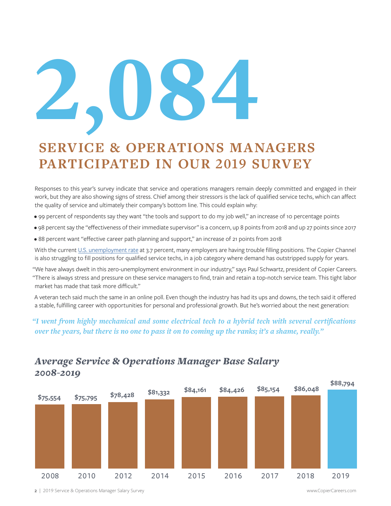# 2'084

### **SERVICE & OPERATIONS MANAGERS PARTICIPATED IN OUR 2019 SURVEY**

Responses to this year's survey indicate that service and operations managers remain deeply committed and engaged in their work, but they are also showing signs of stress. Chief among their stressors is the lack of qualified service techs, which can affect the quality of service and ultimately their company's bottom line. This could explain why:

- 99 percent of respondents say they want "the tools and support to do my job well," an increase of 10 percentage points
- 98 percent say the "effectiveness of their immediate supervisor" is a concern, up 8 points from 2018 and up 27 points since 2017
- 88 percent want "effective career path planning and support," an increase of 21 points from 2018

With the current [U.S. unemployment rate](https://www.bls.gov/news.release/pdf/empsit.pdf) at 3.7 percent, many employers are having trouble filling positions. The Copier Channel is also struggling to fill positions for qualified service techs, in a job category where demand has outstripped supply for years.

"We have always dwelt in this zero-unemployment environment in our industry," says Paul Schwartz, president of Copier Careers. "There is always stress and pressure on these service managers to find, train and retain a top-notch service team. This tight labor market has made that task more difficult."

A veteran tech said much the same in an online poll. Even though the industry has had its ups and downs, the tech said it offered a stable, fulfilling career with opportunities for personal and professional growth. But he's worried about the next generation:

#### *"I went from highly mechanical and some electrical tech to a hybrid tech with several certifications over the years, but there is no one to pass it on to coming up the ranks; it's a shame, really."*



#### *Average Service & Operations Manager Base Salary 2008-2019*

2 | 2019 Service & Operations Manager Salary Survey www.CopierCareers.com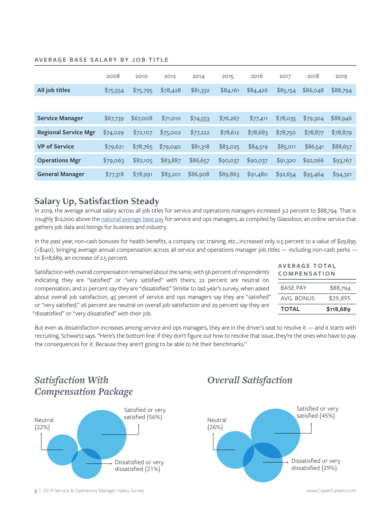#### **AVERAGE BASE SALARY BY JOB TITLE**

|                             | 2008     | 2010     | 2012     | 2014     | 2015     | 2016     | 2017     | 2018     | 2019     |
|-----------------------------|----------|----------|----------|----------|----------|----------|----------|----------|----------|
| All job titles              | \$75,554 | \$75,795 | \$78,428 | \$81,332 | \$84,161 | \$84,426 | \$85,154 | \$86,048 | \$88,794 |
|                             |          |          |          |          |          |          |          |          |          |
| <b>Service Manager</b>      | \$67,739 | \$67,008 | \$71,010 | \$74,553 | \$76,267 | \$77,411 | \$78,035 | \$79,304 | \$88,946 |
| <b>Regional Service Mgr</b> | \$74,029 | \$72,107 | \$75,002 | \$77,222 | \$78,612 | \$78,683 | \$78,750 | \$78,877 | \$78,879 |
| <b>VP of Service</b>        | \$79,621 | \$78,765 | \$79,040 | \$81,318 | \$83,025 | \$84,519 | \$85,011 | \$86,541 | \$88,657 |
| <b>Operations Mgr</b>       | \$79,063 | \$82,105 | \$83,887 | \$86,657 | \$90,037 | \$90,037 | \$91,320 | \$92,066 | \$93,167 |
| <b>General Manager</b>      | \$77,318 | \$78,991 | \$83,201 | \$86,908 | \$89,863 | \$91,480 | \$92,654 | \$93,464 | \$94,321 |

#### **Salary Up, Satisfaction Steady**

In 2019, the average annual salary across all job titles for service and operations managers increased 3.2 percent to \$88,794. That is roughly \$12,000 above the [national average base pay](https://www.glassdoor.com/Salaries/operations-manager-salary-SRCH_KO0,18.htm) for service and ops managers, as compiled by Glassdoor, an online service that gathers job data and listings for business and industry.

In the past year, non-cash bonuses for health benefits, a company car, training, etc., increased only 0.5 percent to a value of \$29,895 (+\$140), bringing average annual compensation across all service and operations manager job titles — including non-cash perks to \$118,689, an increase of 2.5 percent.

Satisfaction with overall compensation remained about the same, with 56 percent of respondents indicating they are "satisfied" or "very satisfied" with theirs; 22 percent are neutral on compensation, and 21 percent say they are "dissatisfied." Similar to last year's survey, when asked about overall job satisfaction, 45 percent of service and ops managers say they are "satisfied" or "very satisfied," 26 percent are neutral on overall job satisfaction and 29 percent say they are "dissatisfied" or "very dissatisfied" with their job.

| AVERAGE TOTAL       |  |
|---------------------|--|
| <b>COMPENSATION</b> |  |

| <b>TOTAL</b>    | \$118,689 |  |  |
|-----------------|-----------|--|--|
| AVG BONUS       | \$29,895  |  |  |
| <b>BASE PAY</b> | \$88,794  |  |  |
|                 |           |  |  |

But even as dissatisfaction increases among service and ops managers, they are in the driver's seat to resolve it — and it starts with recruiting, Schwartz says. "Here's the bottom line: If they don't figure out how to resolve that issue, they're the ones who have to pay the consequences for it. Because they aren't going to be able to hit their benchmarks."



#### *Overall Satisfaction*

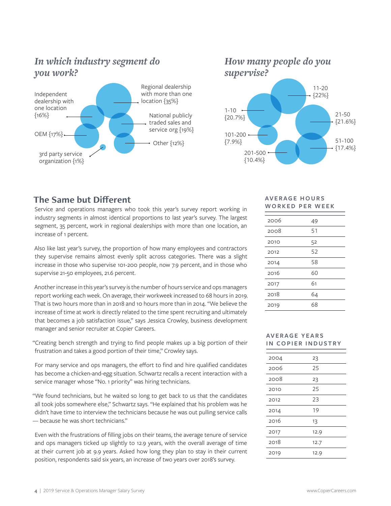#### *In which industry segment do you work?*





101-200 {7.9%}

> 201-500 {10.4%}

#### **The Same but Different**

Service and operations managers who took this year's survey report working in industry segments in almost identical proportions to last year's survey. The largest segment, 35 percent, work in regional dealerships with more than one location, an increase of 1 percent.

Also like last year's survey, the proportion of how many employees and contractors they supervise remains almost evenly split across categories. There was a slight increase in those who supervise 101-200 people, now 7.9 percent, and in those who supervise 21-50 employees, 21.6 percent.

Another increase in this year's survey is the number of hours service and ops managers report working each week. On average, their workweek increased to 68 hours in 2019. That is two hours more than in 2018 and 10 hours more than in 2014. "We believe the increase of time at work is directly related to the time spent recruiting and ultimately that becomes a job satisfaction issue," says Jessica Crowley, business development manager and senior recruiter at Copier Careers.

"Creating bench strength and trying to find people makes up a big portion of their frustration and takes a good portion of their time," Crowley says.

For many service and ops managers, the effort to find and hire qualified candidates has become a chicken-and-egg situation. Schwartz recalls a recent interaction with a service manager whose "No. 1 priority" was hiring technicians.

"We found technicians, but he waited so long to get back to us that the candidates all took jobs somewhere else," Schwartz says. "He explained that his problem was he didn't have time to interview the technicians because he was out pulling service calls — because he was short technicians."

Even with the frustrations of filling jobs on their teams, the average tenure of service and ops managers ticked up slightly to 12.9 years, with the overall average of time at their current job at 9.9 years. Asked how long they plan to stay in their current position, respondents said six years, an increase of two years over 2018's survey.

#### **AV E R A G E H O U R S WORKED PER WEEK**

51-100 {17.4%}

| 2006 | 49 |
|------|----|
| 2008 | 51 |
| 2010 | 52 |
| 2012 | 52 |
| 2014 | 58 |
| 2016 | 60 |
| 2017 | 61 |
| 2018 | 64 |
| 2019 | 68 |

#### **AV E R A G E Y E A R S IN COPIER INDUSTRY**

| 2004 | 23   |
|------|------|
| 2006 | 25   |
| 2008 | 23   |
| 2010 | 25   |
| 2012 | 23   |
| 2014 | 19   |
| 2016 | 13   |
| 2017 | 12.9 |
| 2018 | 12.7 |
| 2019 | 12.9 |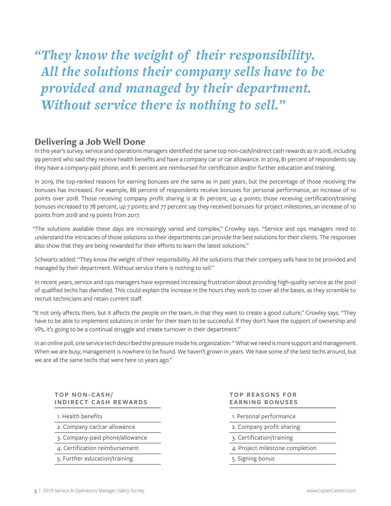*"They know the weight of their responsibility. All the solutions their company sells have to be provided and managed by their department. Without service there is nothing to sell."*

#### **Delivering a Job Well Done**

In this year's survey, service and operations managers identified the same top non-cash/indirect cash rewards as in 2018, including 99 percent who said they receive health benefits and have a company car or car allowance. In 2019, 81 percent of respondents say they have a company-paid phone, and 81 percent are reimbursed for certification and/or further education and training.

In 2019, the top-ranked reasons for earning bonuses are the same as in past years, but the percentage of those receiving the bonuses has increased. For example, 88 percent of respondents receive bonuses for personal performance, an increase of 10 points over 2018. Those receiving company profit sharing is at 81 percent, up 4 points; those receiving certification/training bonuses increased to 78 percent, up 7 points; and 77 percent say they received bonuses for project milestones, an increase of 10 points from 2018 and 19 points from 2017.

"The solutions available these days are increasingly varied and complex," Crowley says. "Service and ops managers need to understand the intricacies of those solutions so their departments can provide the best solutions for their clients. The responses also show that they are being rewarded for their efforts to learn the latest solutions."

Schwartz added: "They know the weight of their responsibility. All the solutions that their company sells have to be provided and managed by their department. Without service there is nothing to sell."

In recent years, service and ops managers have expressed increasing frustration about providing high-quality service as the pool of qualified techs has dwindled. This could explain the increase in the hours they work to cover all the bases, as they scramble to recruit technicians and retain current staff.

"It not only affects them, but it affects the people on the team, in that they want to create a good culture," Crowley says. "They have to be able to implement solutions in order for their team to be successful. If they don't have the support of ownership and VPs, it's going to be a continual struggle and create turnover in their department."

In an online poll, one service tech described the pressure inside his organization: " What we need is more support and management. When we are busy, management is nowhere to be found. We haven't grown in years. We have some of the best techs around, but we are all the same techs that were here 10 years ago."

#### **TOP NON-CASH/ INDIRECT CASH REWARDS**

1. Health benefits

- 2. Company car/car allowance
- 3. Company-paid phone/allowance
- 4. Certification reimbursement
- 5. Further education/training

#### **TOP REASONS FOR EARNING BONUSES**

- 1. Personal performance
- 2. Company profit sharing
- 3. Certification/training
- 4. Project milestone completion
- 5. Signing bonus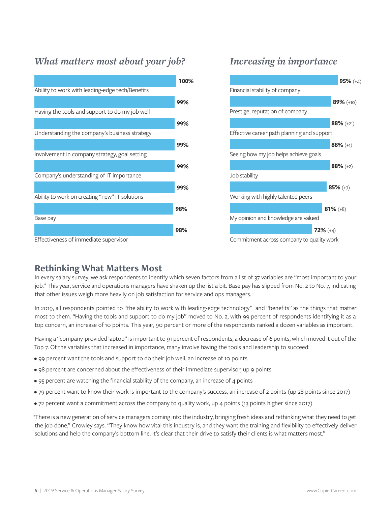#### *What matters most about your job? Increasing in importance*





#### **Rethinking What Matters Most**

In every salary survey, we ask respondents to identify which seven factors from a list of 37 variables are "most important to your job." This year, service and operations managers have shaken up the list a bit. Base pay has slipped from No. 2 to No. 7, indicating that other issues weigh more heavily on job satisfaction for service and ops managers.

In 2019, all respondents pointed to "the ability to work with leading-edge technology" and "benefits" as the things that matter most to them. "Having the tools and support to do my job" moved to No. 2, with 99 percent of respondents identifying it as a top concern, an increase of 10 points. This year, 90 percent or more of the respondents ranked a dozen variables as important.

Having a "company-provided laptop" is important to 91 percent of respondents, a decrease of 6 points, which moved it out of the Top 7. Of the variables that increased in importance, many involve having the tools and leadership to succeed:

- 99 percent want the tools and support to do their job well, an increase of 10 points
- 98 percent are concerned about the effectiveness of their immediate supervisor, up 9 points
- 95 percent are watching the financial stability of the company, an increase of 4 points
- 79 percent want to know their work is important to the company's success, an increase of 2 points (up 28 points since 2017)
- 72 percent want a commitment across the company to quality work, up 4 points (13 points higher since 2017)

"There is a new generation of service managers coming into the industry, bringing fresh ideas and rethinking what they need to get the job done," Crowley says. "They know how vital this industry is, and they want the training and flexibility to effectively deliver solutions and help the company's bottom line. It's clear that their drive to satisfy their clients is what matters most."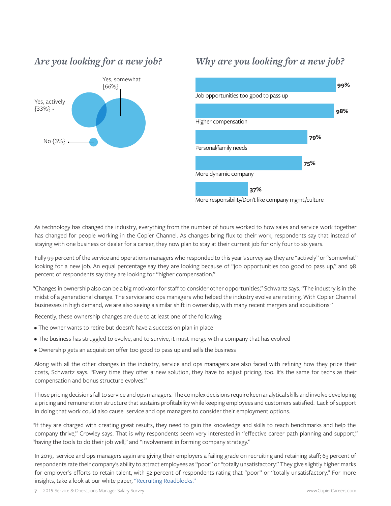#### *Are you looking for a new job?*



#### *Why are you looking for a new job?*



More responsibility/Don't like company mgmt./culture

As technology has changed the industry, everything from the number of hours worked to how sales and service work together has changed for people working in the Copier Channel. As changes bring flux to their work, respondents say that instead of staying with one business or dealer for a career, they now plan to stay at their current job for only four to six years.

Fully 99 percent of the service and operations managers who responded to this year's survey say they are "actively" or "somewhat" looking for a new job. An equal percentage say they are looking because of "job opportunities too good to pass up," and 98 percent of respondents say they are looking for "higher compensation."

"Changes in ownership also can be a big motivator for staff to consider other opportunities," Schwartz says. "The industry is in the midst of a generational change. The service and ops managers who helped the industry evolve are retiring. With Copier Channel businesses in high demand, we are also seeing a similar shift in ownership, with many recent mergers and acquisitions."

Recently, these ownership changes are due to at least one of the following:

- The owner wants to retire but doesn't have a succession plan in place
- The business has struggled to evolve, and to survive, it must merge with a company that has evolved
- Ownership gets an acquisition offer too good to pass up and sells the business

Along with all the other changes in the industry, service and ops managers are also faced with refining how they price their costs, Schwartz says. "Every time they offer a new solution, they have to adjust pricing, too. It's the same for techs as their compensation and bonus structure evolves."

Those pricing decisions fall to service and ops managers. The complex decisions require keen analytical skills and involve developing a pricing and remuneration structure that sustains profitability while keeping employees and customers satisfied. Lack of support in doing that work could also cause service and ops managers to consider their employment options.

"If they are charged with creating great results, they need to gain the knowledge and skills to reach benchmarks and help the company thrive," Crowley says. That is why respondents seem very interested in "effective career path planning and support," "having the tools to do their job well," and "involvement in forming company strategy."  

In 2019, service and ops managers again are giving their employers a failing grade on recruiting and retaining staff; 63 percent of respondents rate their company's ability to attract employees as "poor" or "totally unsatisfactory." They give slightly higher marks for employer's efforts to retain talent, with 52 percent of respondents rating that "poor" or "totally unsatisfactory." For more insights, take a look at our white paper, ["Recruiting Roadblocks."](https://copiercareers.com/wp-content/uploads/sites/24/2016/10/2016-recruiting-roadblocks-white-paper.pdf)